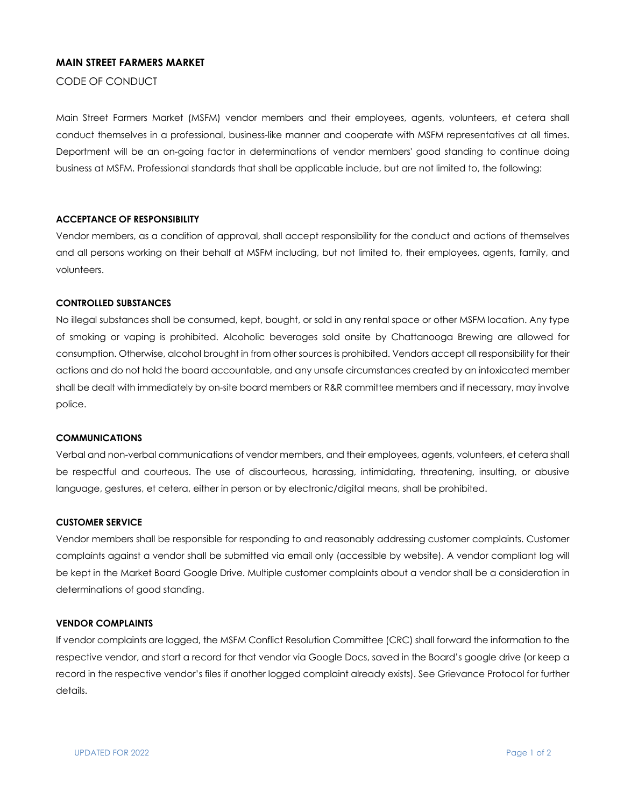# **MAIN STREET FARMERS MARKET**

CODE OF CONDUCT

Main Street Farmers Market (MSFM) vendor members and their employees, agents, volunteers, et cetera shall conduct themselves in a professional, business-like manner and cooperate with MSFM representatives at all times. Deportment will be an on-going factor in determinations of vendor members' good standing to continue doing business at MSFM. Professional standards that shall be applicable include, but are not limited to, the following:

## **ACCEPTANCE OF RESPONSIBILITY**

Vendor members, as a condition of approval, shall accept responsibility for the conduct and actions of themselves and all persons working on their behalf at MSFM including, but not limited to, their employees, agents, family, and volunteers.

### **CONTROLLED SUBSTANCES**

No illegal substances shall be consumed, kept, bought, or sold in any rental space or other MSFM location. Any type of smoking or vaping is prohibited. Alcoholic beverages sold onsite by Chattanooga Brewing are allowed for consumption. Otherwise, alcohol brought in from other sources is prohibited. Vendors accept all responsibility for their actions and do not hold the board accountable, and any unsafe circumstances created by an intoxicated member shall be dealt with immediately by on-site board members or R&R committee members and if necessary, may involve police.

#### **COMMUNICATIONS**

Verbal and non-verbal communications of vendor members, and their employees, agents, volunteers, et cetera shall be respectful and courteous. The use of discourteous, harassing, intimidating, threatening, insulting, or abusive language, gestures, et cetera, either in person or by electronic/digital means, shall be prohibited.

#### **CUSTOMER SERVICE**

Vendor members shall be responsible for responding to and reasonably addressing customer complaints. Customer complaints against a vendor shall be submitted via email only (accessible by website). A vendor compliant log will be kept in the Market Board Google Drive. Multiple customer complaints about a vendor shall be a consideration in determinations of good standing.

#### **VENDOR COMPLAINTS**

If vendor complaints are logged, the MSFM Conflict Resolution Committee (CRC) shall forward the information to the respective vendor, and start a record for that vendor via Google Docs, saved in the Board's google drive (or keep a record in the respective vendor's files if another logged complaint already exists). See Grievance Protocol for further details.